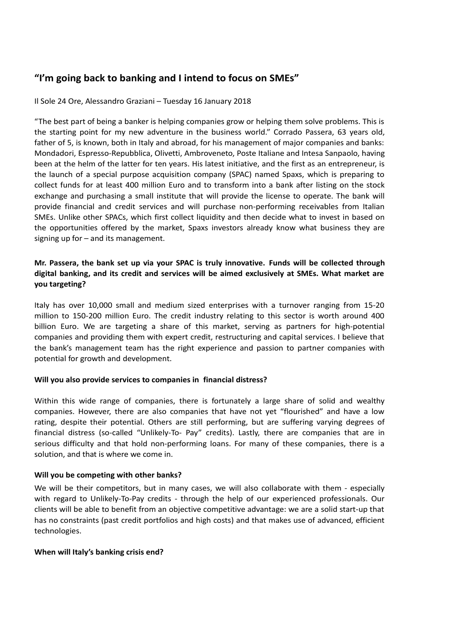# **"I'm going back to banking and I intend to focus on SMEs"**

## Il Sole 24 Ore, Alessandro Graziani – Tuesday 16 January 2018

"The best part of being a banker is helping companies grow or helping them solve problems. This is the starting point for my new adventure in the business world." Corrado Passera, 63 years old, father of 5, is known, both in Italy and abroad, for his management of major companies and banks: Mondadori, Espresso-Repubblica, Olivetti, Ambroveneto, Poste Italiane and Intesa Sanpaolo, having been at the helm of the latter for ten years. His latest initiative, and the first as an entrepreneur, is the launch of a special purpose acquisition company (SPAC) named Spaxs, which is preparing to collect funds for at least 400 million Euro and to transform into a bank after listing on the stock exchange and purchasing a small institute that will provide the license to operate. The bank will provide financial and credit services and will purchase non-performing receivables from Italian SMEs. Unlike other SPACs, which first collect liquidity and then decide what to invest in based on the opportunities offered by the market, Spaxs investors already know what business they are signing up for – and its management.

# **Mr. Passera, the bank set up via your SPAC is truly innovative. Funds will be collected through digital banking, and its credit and services will be aimed exclusively at SMEs. What market are you targeting?**

Italy has over 10,000 small and medium sized enterprises with a turnover ranging from 15-20 million to 150-200 million Euro. The credit industry relating to this sector is worth around 400 billion Euro. We are targeting a share of this market, serving as partners for high-potential companies and providing them with expert credit, restructuring and capital services. I believe that the bank's management team has the right experience and passion to partner companies with potential for growth and development.

## **Will you also provide services to companies in financial distress?**

Within this wide range of companies, there is fortunately a large share of solid and wealthy companies. However, there are also companies that have not yet "flourished" and have a low rating, despite their potential. Others are still performing, but are suffering varying degrees of financial distress (so-called "Unlikely-To- Pay" credits). Lastly, there are companies that are in serious difficulty and that hold non-performing loans. For many of these companies, there is a solution, and that is where we come in.

## **Will you be competing with other banks?**

We will be their competitors, but in many cases, we will also collaborate with them - especially with regard to Unlikely-To-Pay credits - through the help of our experienced professionals. Our clients will be able to benefit from an objective competitive advantage: we are a solid start-up that has no constraints (past credit portfolios and high costs) and that makes use of advanced, efficient technologies.

#### **When will Italy's banking crisis end?**